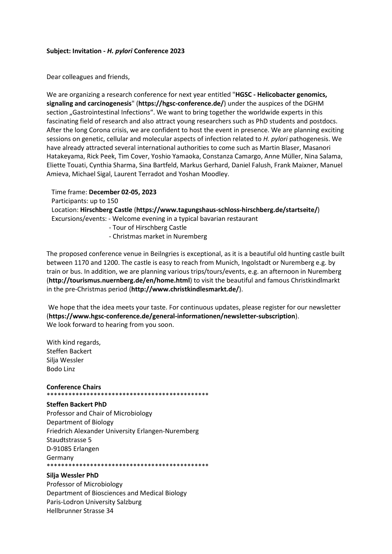## Subject: Invitation - H. pylori Conference 2023

Dear colleagues and friends,

We are organizing a research conference for next year entitled "HGSC - Helicobacter genomics, signaling and carcinogenesis" (https://hgsc-conference.de/) under the auspices of the DGHM section ..Gastrointestinal Infections". We want to bring together the worldwide experts in this fascinating field of research and also attract young researchers such as PhD students and postdocs. After the long Corona crisis, we are confident to host the event in presence. We are planning exciting sessions on genetic, cellular and molecular aspects of infection related to H. pylori pathogenesis. We have already attracted several international authorities to come such as Martin Blaser, Masanori Hatakeyama, Rick Peek, Tim Cover, Yoshio Yamaoka, Constanza Camargo, Anne Müller, Nina Salama, Eliette Touati, Cynthia Sharma, Sina Bartfeld, Markus Gerhard, Daniel Falush, Frank Maixner, Manuel Amieva, Michael Sigal, Laurent Terradot and Yoshan Moodley.

 Time frame: December 02-05, 2023 Participants: up to 150 Location: Hirschberg Castle (https://www.tagungshaus-schloss-hirschberg.de/startseite/) Excursions/events: - Welcome evening in a typical bavarian restaurant - Tour of Hirschberg Castle - Christmas market in Nuremberg

The proposed conference venue in Beilngries is exceptional, as it is a beautiful old hunting castle built between 1170 and 1200. The castle is easy to reach from Munich, Ingolstadt or Nuremberg e.g. by train or bus. In addition, we are planning various trips/tours/events, e.g. an afternoon in Nuremberg (http://tourismus.nuernberg.de/en/home.html) to visit the beautiful and famous Christkindlmarkt in the pre-Christmas period (http://www.christkindlesmarkt.de/).

 We hope that the idea meets your taste. For continuous updates, please register for our newsletter (https://www.hgsc-conference.de/general-informationen/newsletter-subscription). We look forward to hearing from you soon.

With kind regards, Steffen Backert Silja Wessler Bodo Linz

## Conference Chairs

\*\*\*\*\*\*\*\*\*\*\*\*\*\*\*\*\*\*\*\*\*\*\*\*\*\*\*\*\*\*\*\*\*\*\*\*\*\*\*\*\*\*\*\*\*

#### Steffen Backert PhD

Professor and Chair of Microbiology Department of Biology Friedrich Alexander University Erlangen-Nuremberg Staudtstrasse 5 D-91085 Erlangen Germany \*\*\*\*\*\*\*\*\*\*\*\*\*\*\*\*\*\*\*\*\*\*\*\*\*\*\*\*\*\*\*\*\*\*\*\*\*\*\*\*\*\*\*\*\*

## Silja Wessler PhD

Professor of Microbiology Department of Biosciences and Medical Biology Paris-Lodron University Salzburg Hellbrunner Strasse 34